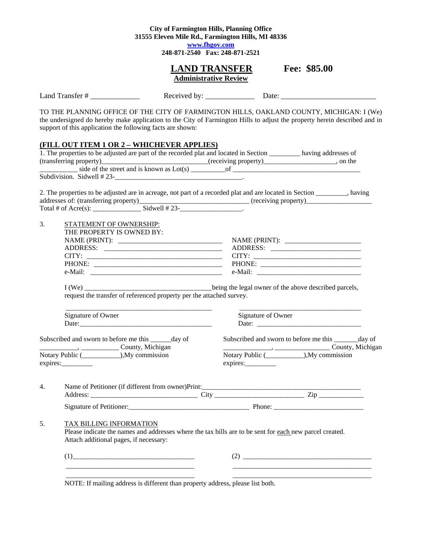**City of Farmington Hills, Planning Office 31555 Eleven Mile Rd., Farmington Hills, MI 48336 www.fhgov.com 248-871-2540 Fax: 248-871-2521** 

# **LAND TRANSFER Fee: \$85.00**

**Administrative Review**

Land Transfer # \_\_\_\_\_\_\_\_\_\_\_\_\_ Received by: \_\_\_\_\_\_\_\_\_\_\_\_\_ Date: \_\_\_\_\_\_\_\_\_\_\_\_\_\_\_\_\_\_\_\_\_\_\_\_\_

TO THE PLANNING OFFICE OF THE CITY OF FARMINGTON HILLS, OAKLAND COUNTY, MICHIGAN: I (We) the undersigned do hereby make application to the City of Farmington Hills to adjust the property herein described and in support of this application the following facts are shown:

### **(FILL OUT ITEM 1 OR 2 – WHICHEVER APPLIES)**

| 1. The properties to be adjusted are part of the recorded plat and located in Section |                      | having addresses of |
|---------------------------------------------------------------------------------------|----------------------|---------------------|
| (transferring property)                                                               | (receiving property) | . on the            |
| side of the street and is known as $Lot(s)$                                           |                      |                     |
| Subdivision. Sidwell $#23-$                                                           |                      |                     |

|                                        | 2. The properties to be adjusted are in acreage, not part of a recorded plat and are located in Section | , having             |  |
|----------------------------------------|---------------------------------------------------------------------------------------------------------|----------------------|--|
| addresses of: (transferring property)_ |                                                                                                         | (receiving property) |  |
| Total # of $Acre(s)$ :                 | Sidwell $#23-$                                                                                          |                      |  |

| 3. | STATEMENT OF OWNERSHIP:                                                                                                                                                             |                                                                            |  |  |
|----|-------------------------------------------------------------------------------------------------------------------------------------------------------------------------------------|----------------------------------------------------------------------------|--|--|
|    | THE PROPERTY IS OWNED BY:                                                                                                                                                           |                                                                            |  |  |
|    |                                                                                                                                                                                     |                                                                            |  |  |
|    |                                                                                                                                                                                     |                                                                            |  |  |
|    |                                                                                                                                                                                     |                                                                            |  |  |
|    |                                                                                                                                                                                     |                                                                            |  |  |
|    | request the transfer of referenced property per the attached survey.                                                                                                                |                                                                            |  |  |
|    | Signature of Owner                                                                                                                                                                  | Signature of Owner                                                         |  |  |
|    |                                                                                                                                                                                     | Date: $\frac{1}{\sqrt{1-\frac{1}{2}} \cdot \frac{1}{2}}$                   |  |  |
|    | Subscribed and sworn to before me this _______ day of<br>County, Michigan                                                                                                           | Subscribed and sworn to before me this ________ day of<br>County, Michigan |  |  |
|    | expires:                                                                                                                                                                            |                                                                            |  |  |
| 4. |                                                                                                                                                                                     |                                                                            |  |  |
|    |                                                                                                                                                                                     |                                                                            |  |  |
|    |                                                                                                                                                                                     |                                                                            |  |  |
| 5. | <b>TAX BILLING INFORMATION</b><br>Please indicate the names and addresses where the tax bills are to be sent for each new parcel created.<br>Attach additional pages, if necessary: |                                                                            |  |  |
|    |                                                                                                                                                                                     |                                                                            |  |  |
|    |                                                                                                                                                                                     |                                                                            |  |  |

\_\_\_\_\_\_\_\_\_\_\_\_\_\_\_\_\_\_\_\_\_\_\_\_\_\_\_\_\_\_\_\_\_\_\_\_\_ \_\_\_\_\_\_\_\_\_\_\_\_\_\_\_\_\_\_\_\_\_\_\_\_\_\_\_\_\_\_\_\_\_\_\_\_\_\_\_\_

NOTE: If mailing address is different than property address, please list both.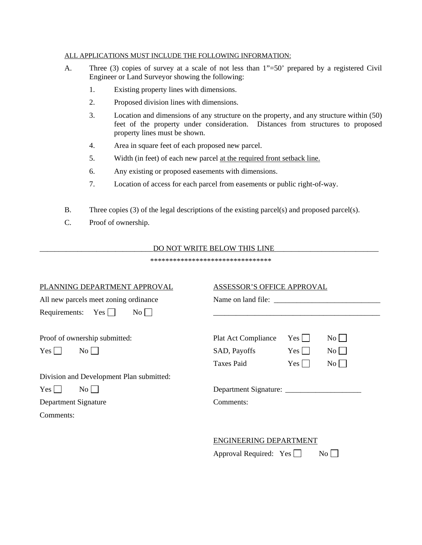#### ALL APPLICATIONS MUST INCLUDE THE FOLLOWING INFORMATION:

- A. Three (3) copies of survey at a scale of not less than 1"=50' prepared by a registered Civil Engineer or Land Surveyor showing the following:
	- 1. Existing property lines with dimensions.
	- 2. Proposed division lines with dimensions.
	- 3. Location and dimensions of any structure on the property, and any structure within (50) feet of the property under consideration. Distances from structures to proposed property lines must be shown.
	- 4. Area in square feet of each proposed new parcel.
	- 5. Width (in feet) of each new parcel at the required front setback line.
	- 6. Any existing or proposed easements with dimensions.
	- 7. Location of access for each parcel from easements or public right-of-way.
- B. Three copies (3) of the legal descriptions of the existing parcel(s) and proposed parcel(s).
- C. Proof of ownership.

## DO NOT WRITE BELOW THIS LINE

\*\*\*\*\*\*\*\*\*\*\*\*\*\*\*\*\*\*\*\*\*\*\*\*\*\*\*\*\*\*\*\*

| PLANNING DEPARTMENT APPROVAL             | ASSESSOR'S OFFICE APPROVAL                                |
|------------------------------------------|-----------------------------------------------------------|
| All new parcels meet zoning ordinance    |                                                           |
| Requirements: $Yes$<br>$\overline{N_0}$  |                                                           |
| Proof of ownership submitted:            | $Yes \Box$<br>$\overline{N_0}$    <br>Plat Act Compliance |
| $Yes \Box$<br>$\rm{No}$                  | SAD, Payoffs<br>$\overline{N_0}$<br>$Yes \mid \mid$       |
|                                          | <b>Taxes Paid</b><br>$Yes \mid \mid$<br>$\overline{N_0}$  |
| Division and Development Plan submitted: |                                                           |
| $Yes \Box$<br>$\rm{No}$                  | Department Signature:                                     |
| Department Signature                     | Comments:                                                 |
| Comments:                                |                                                           |
|                                          | <b>ENGINEERING DEPARTMENT</b>                             |

Approval Required:  $Yes \Box$  No  $\Box$